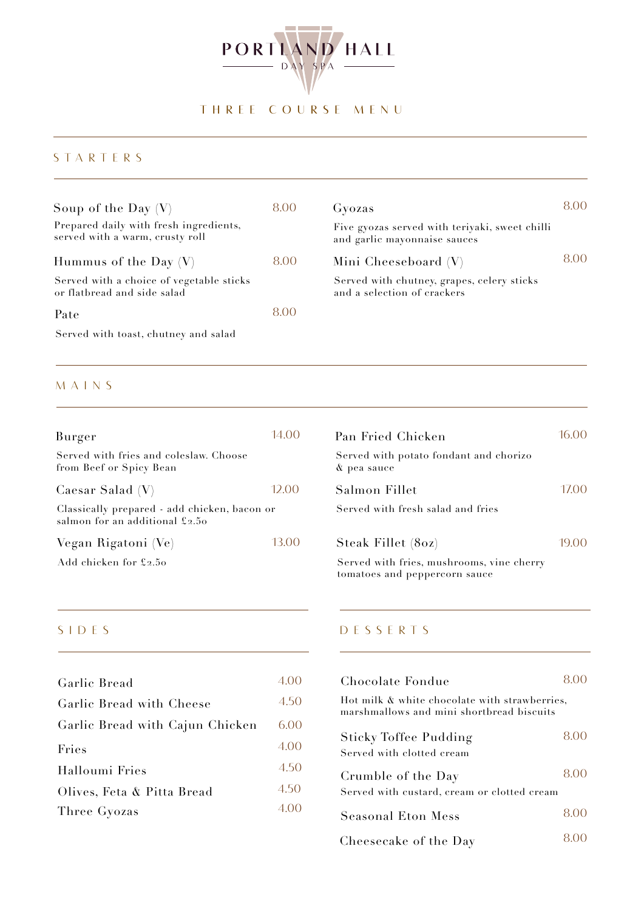

# THREE COURSE MENU

#### STARTERS

| Soup of the Day $(V)$<br>Prepared daily with fresh ingredients,<br>served with a warm, crusty roll | 8.00 | Gyozas<br>Five gyozas served with teriyaki, sweet chilli<br>and garlic mayonnaise sauces | 8.00 |
|----------------------------------------------------------------------------------------------------|------|------------------------------------------------------------------------------------------|------|
| Hummus of the Day $(V)$                                                                            | 8.00 | Mini Cheeseboard (V)                                                                     | 8.00 |
| Served with a choice of vegetable sticks<br>or flatbread and side salad                            |      | Served with chutney, grapes, celery sticks<br>and a selection of crackers                |      |
| Pate                                                                                               | 8.00 |                                                                                          |      |

Served with toast, chutney and salad

#### MAINS

| Burger                                                                         | 14 ()() |
|--------------------------------------------------------------------------------|---------|
| Served with fries and coleslaw. Choose<br>from Beef or Spicy Bean              |         |
| Caesar Salad $(V)$                                                             | 12.00   |
| Classically prepared - add chicken, bacon or<br>salmon for an additional £2.50 |         |
| Vegan Rigatoni (Ve)                                                            | 13.00   |
| Add chicken for £2.50                                                          |         |

| 14.00 | Pan Fried Chicken                                     | 16.00 |
|-------|-------------------------------------------------------|-------|
|       | Served with potato fondant and chorizo<br>& pea sauce |       |
| 12.00 | Salmon Fillet                                         | 17.00 |
| r     | Served with fresh salad and fries                     |       |
| 13.00 | Steak Fillet (80z)                                    | 19.00 |

Served with fries, mushrooms, vine cherry tomatoes and peppercorn sauce

| 4.00 |
|------|
| 4.50 |
| 6.00 |
| 4.00 |
| 4.50 |
| 4.50 |
| 4.00 |
|      |

#### SIDES DESSERTS

| Chocolate Fondue                                                                           |      |  |  |
|--------------------------------------------------------------------------------------------|------|--|--|
| Hot milk & white chocolate with strawberries,<br>marshmallows and mini shortbread biscuits |      |  |  |
| Sticky Toffee Pudding<br>Served with clotted cream                                         | 8.00 |  |  |
| Crumble of the Day<br>Served with custard, cream or clotted cream                          | 800  |  |  |
| <b>Seasonal Eton Mess</b>                                                                  | 800  |  |  |
| Cheesecake of the Day                                                                      |      |  |  |